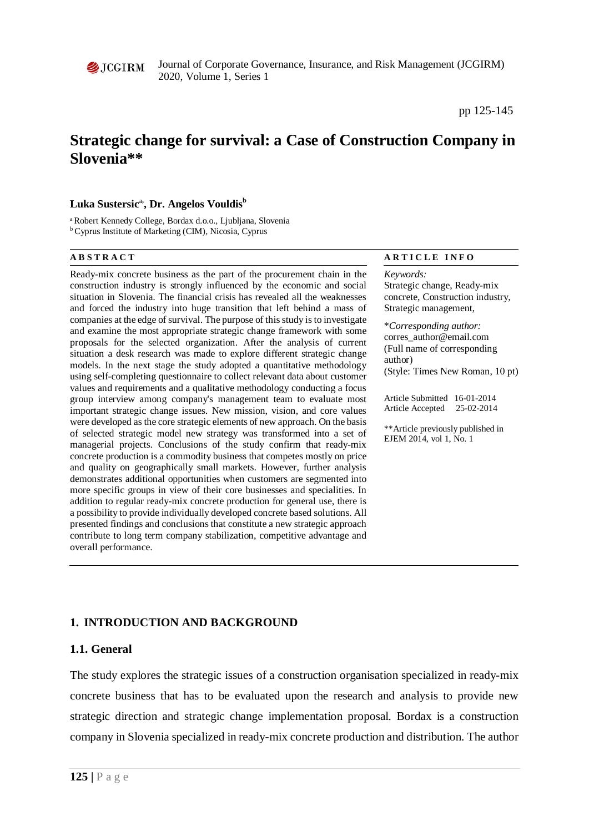

Journal of Corporate Governance, Insurance, and Risk Management (JCGIRM) 2020, Volume 1, Series 1

# **Strategic change for survival: a Case of Construction Company in Slovenia\*\***

## $\mathbf{L}$ uka Sustersic<sup>a,</sup> Dr. Angelos Vouldis<sup>b</sup>

a Robert Kennedy College, Bordax d.o.o., Ljubljana, Slovenia b Cyprus Institute of Marketing (CIM), Nicosia, Cyprus

Ready-mix concrete business as the part of the procurement chain in the construction industry is strongly influenced by the economic and social situation in Slovenia. The financial crisis has revealed all the weaknesses and forced the industry into huge transition that left behind a mass of companies at the edge of survival. The purpose of this study is to investigate and examine the most appropriate strategic change framework with some proposals for the selected organization. After the analysis of current situation a desk research was made to explore different strategic change models. In the next stage the study adopted a quantitative methodology using self-completing questionnaire to collect relevant data about customer values and requirements and a qualitative methodology conducting a focus group interview among company's management team to evaluate most important strategic change issues. New mission, vision, and core values were developed as the core strategic elements of new approach. On the basis of selected strategic model new strategy was transformed into a set of managerial projects. Conclusions of the study confirm that ready-mix concrete production is a commodity business that competes mostly on price and quality on geographically small markets. However, further analysis demonstrates additional opportunities when customers are segmented into more specific groups in view of their core businesses and specialities. In addition to regular ready-mix concrete production for general use, there is a possibility to provide individually developed concrete based solutions. All presented findings and conclusions that constitute a new strategic approach contribute to long term company stabilization, competitive advantage and overall performance.

#### **A B S T R A C T A R T I C L E I N F O**

# *Keywords:* Strategic change, Ready-mix

concrete, Construction industry, Strategic management,

\**Corresponding author:*  corres\_author@email.com (Full name of corresponding author) (Style: Times New Roman, 10 pt)

Article Submitted 16-01-2014 Article Accepted 25-02-2014

\*\*Article previously published in EJEM 2014, vol 1, No. 1

## **1. INTRODUCTION AND BACKGROUND**

#### **1.1. General**

The study explores the strategic issues of a construction organisation specialized in ready-mix concrete business that has to be evaluated upon the research and analysis to provide new strategic direction and strategic change implementation proposal. Bordax is a construction company in Slovenia specialized in ready-mix concrete production and distribution. The author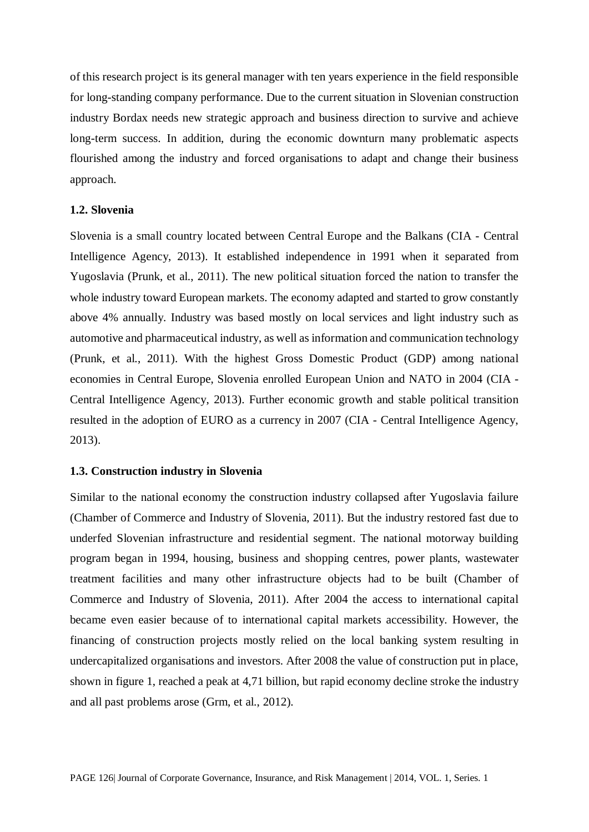of this research project is its general manager with ten years experience in the field responsible for long-standing company performance. Due to the current situation in Slovenian construction industry Bordax needs new strategic approach and business direction to survive and achieve long-term success. In addition, during the economic downturn many problematic aspects flourished among the industry and forced organisations to adapt and change their business approach.

## **1.2. Slovenia**

Slovenia is a small country located between Central Europe and the Balkans (CIA - Central Intelligence Agency, 2013). It established independence in 1991 when it separated from Yugoslavia (Prunk, et al., 2011). The new political situation forced the nation to transfer the whole industry toward European markets. The economy adapted and started to grow constantly above 4% annually. Industry was based mostly on local services and light industry such as automotive and pharmaceutical industry, as well as information and communication technology (Prunk, et al., 2011). With the highest Gross Domestic Product (GDP) among national economies in Central Europe, Slovenia enrolled European Union and NATO in 2004 (CIA - Central Intelligence Agency, 2013). Further economic growth and stable political transition resulted in the adoption of EURO as a currency in 2007 (CIA - Central Intelligence Agency, 2013).

#### **1.3. Construction industry in Slovenia**

Similar to the national economy the construction industry collapsed after Yugoslavia failure (Chamber of Commerce and Industry of Slovenia, 2011). But the industry restored fast due to underfed Slovenian infrastructure and residential segment. The national motorway building program began in 1994, housing, business and shopping centres, power plants, wastewater treatment facilities and many other infrastructure objects had to be built (Chamber of Commerce and Industry of Slovenia, 2011). After 2004 the access to international capital became even easier because of to international capital markets accessibility. However, the financing of construction projects mostly relied on the local banking system resulting in undercapitalized organisations and investors. After 2008 the value of construction put in place, shown in figure 1, reached a peak at 4,71 billion, but rapid economy decline stroke the industry and all past problems arose (Grm, et al., 2012).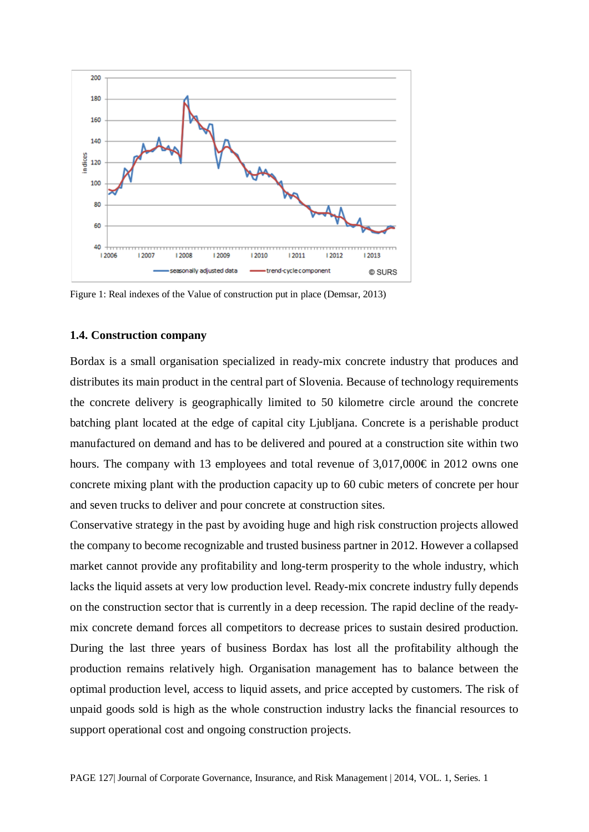

Figure 1: Real indexes of the Value of construction put in place (Demsar, 2013)

#### **1.4. Construction company**

Bordax is a small organisation specialized in ready-mix concrete industry that produces and distributes its main product in the central part of Slovenia. Because of technology requirements the concrete delivery is geographically limited to 50 kilometre circle around the concrete batching plant located at the edge of capital city Ljubljana. Concrete is a perishable product manufactured on demand and has to be delivered and poured at a construction site within two hours. The company with 13 employees and total revenue of  $3,017,000 \in \mathbb{R}$  in 2012 owns one concrete mixing plant with the production capacity up to 60 cubic meters of concrete per hour and seven trucks to deliver and pour concrete at construction sites.

Conservative strategy in the past by avoiding huge and high risk construction projects allowed the company to become recognizable and trusted business partner in 2012. However a collapsed market cannot provide any profitability and long-term prosperity to the whole industry, which lacks the liquid assets at very low production level. Ready-mix concrete industry fully depends on the construction sector that is currently in a deep recession. The rapid decline of the readymix concrete demand forces all competitors to decrease prices to sustain desired production. During the last three years of business Bordax has lost all the profitability although the production remains relatively high. Organisation management has to balance between the optimal production level, access to liquid assets, and price accepted by customers. The risk of unpaid goods sold is high as the whole construction industry lacks the financial resources to support operational cost and ongoing construction projects.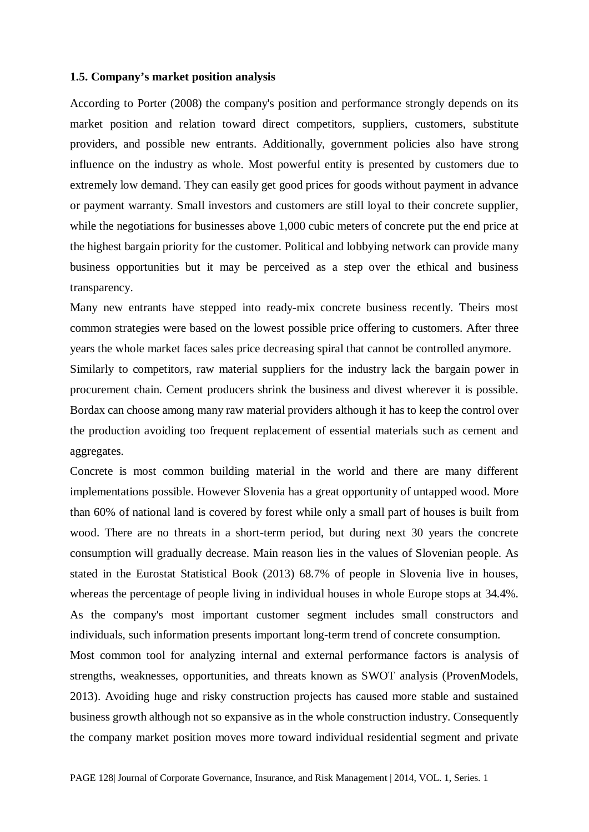#### **1.5. Company's market position analysis**

According to Porter (2008) the company's position and performance strongly depends on its market position and relation toward direct competitors, suppliers, customers, substitute providers, and possible new entrants. Additionally, government policies also have strong influence on the industry as whole. Most powerful entity is presented by customers due to extremely low demand. They can easily get good prices for goods without payment in advance or payment warranty. Small investors and customers are still loyal to their concrete supplier, while the negotiations for businesses above 1,000 cubic meters of concrete put the end price at the highest bargain priority for the customer. Political and lobbying network can provide many business opportunities but it may be perceived as a step over the ethical and business transparency.

Many new entrants have stepped into ready-mix concrete business recently. Theirs most common strategies were based on the lowest possible price offering to customers. After three years the whole market faces sales price decreasing spiral that cannot be controlled anymore.

Similarly to competitors, raw material suppliers for the industry lack the bargain power in procurement chain. Cement producers shrink the business and divest wherever it is possible. Bordax can choose among many raw material providers although it has to keep the control over the production avoiding too frequent replacement of essential materials such as cement and aggregates.

Concrete is most common building material in the world and there are many different implementations possible. However Slovenia has a great opportunity of untapped wood. More than 60% of national land is covered by forest while only a small part of houses is built from wood. There are no threats in a short-term period, but during next 30 years the concrete consumption will gradually decrease. Main reason lies in the values of Slovenian people. As stated in the Eurostat Statistical Book (2013) 68.7% of people in Slovenia live in houses, whereas the percentage of people living in individual houses in whole Europe stops at 34.4%. As the company's most important customer segment includes small constructors and individuals, such information presents important long-term trend of concrete consumption.

Most common tool for analyzing internal and external performance factors is analysis of strengths, weaknesses, opportunities, and threats known as SWOT analysis (ProvenModels, 2013). Avoiding huge and risky construction projects has caused more stable and sustained business growth although not so expansive as in the whole construction industry. Consequently the company market position moves more toward individual residential segment and private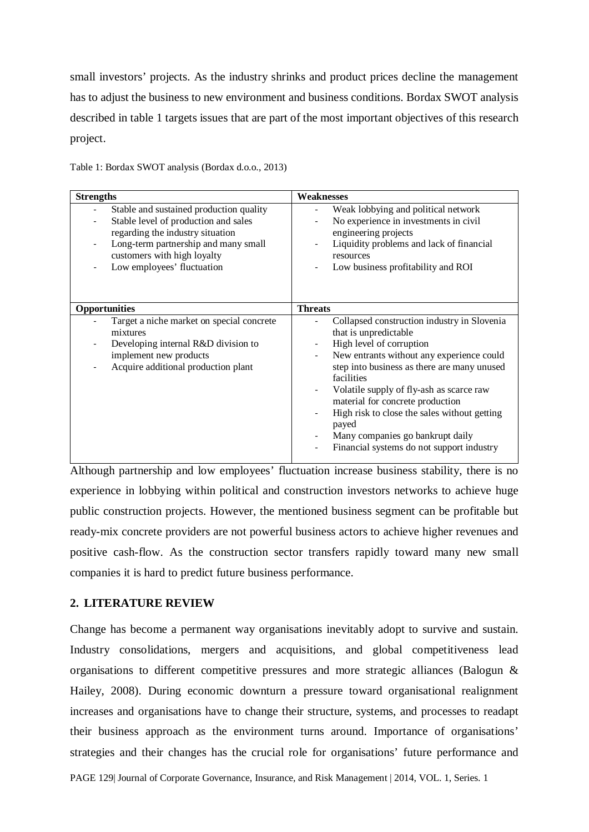small investors' projects. As the industry shrinks and product prices decline the management has to adjust the business to new environment and business conditions. Bordax SWOT analysis described in table 1 targets issues that are part of the most important objectives of this research project.

| <b>Strengths</b>                                                                                                                                                                                                         | Weaknesses                                                                                                                                                                                                                                                                                                                                                                                                                           |  |  |
|--------------------------------------------------------------------------------------------------------------------------------------------------------------------------------------------------------------------------|--------------------------------------------------------------------------------------------------------------------------------------------------------------------------------------------------------------------------------------------------------------------------------------------------------------------------------------------------------------------------------------------------------------------------------------|--|--|
| Stable and sustained production quality<br>Stable level of production and sales<br>regarding the industry situation<br>Long-term partnership and many small<br>customers with high loyalty<br>Low employees' fluctuation | Weak lobbying and political network<br>No experience in investments in civil<br>engineering projects<br>Liquidity problems and lack of financial<br>resources<br>Low business profitability and ROI                                                                                                                                                                                                                                  |  |  |
| Opportunities                                                                                                                                                                                                            | <b>Threats</b>                                                                                                                                                                                                                                                                                                                                                                                                                       |  |  |
| Target a niche market on special concrete<br>mixtures<br>Developing internal R&D division to<br>implement new products<br>Acquire additional production plant                                                            | Collapsed construction industry in Slovenia<br>that is unpredictable<br>High level of corruption<br>New entrants without any experience could<br>step into business as there are many unused<br>facilities<br>Volatile supply of fly-ash as scarce raw<br>material for concrete production<br>High risk to close the sales without getting<br>payed<br>Many companies go bankrupt daily<br>Financial systems do not support industry |  |  |

Table 1: Bordax SWOT analysis (Bordax d.o.o., 2013)

Although partnership and low employees' fluctuation increase business stability, there is no experience in lobbying within political and construction investors networks to achieve huge public construction projects. However, the mentioned business segment can be profitable but ready-mix concrete providers are not powerful business actors to achieve higher revenues and positive cash-flow. As the construction sector transfers rapidly toward many new small companies it is hard to predict future business performance.

## **2. LITERATURE REVIEW**

Change has become a permanent way organisations inevitably adopt to survive and sustain. Industry consolidations, mergers and acquisitions, and global competitiveness lead organisations to different competitive pressures and more strategic alliances (Balogun & Hailey, 2008). During economic downturn a pressure toward organisational realignment increases and organisations have to change their structure, systems, and processes to readapt their business approach as the environment turns around. Importance of organisations' strategies and their changes has the crucial role for organisations' future performance and

PAGE 129| Journal of Corporate Governance, Insurance, and Risk Management | 2014, VOL. 1, Series. 1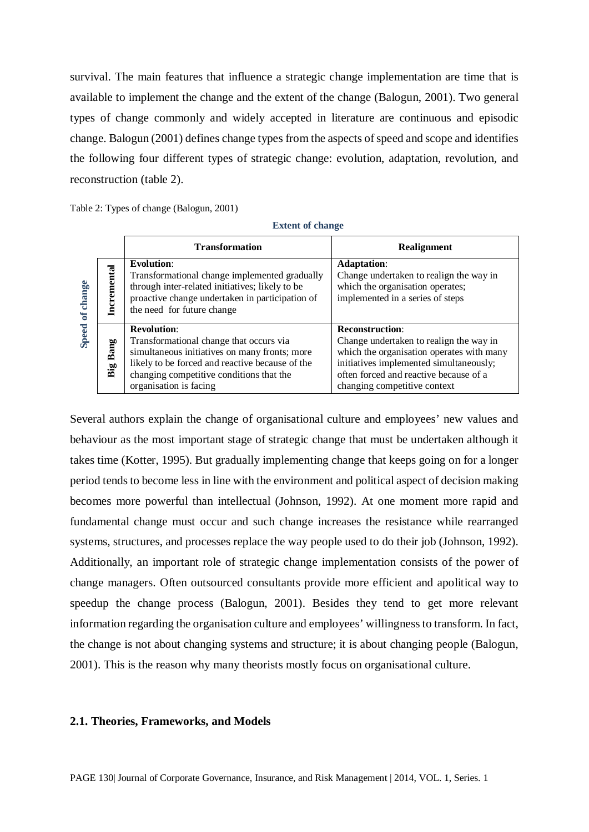survival. The main features that influence a strategic change implementation are time that is available to implement the change and the extent of the change (Balogun, 2001). Two general types of change commonly and widely accepted in literature are continuous and episodic change. Balogun (2001) defines change types from the aspects of speed and scope and identifies the following four different types of strategic change: evolution, adaptation, revolution, and reconstruction (table 2).

Table 2: Types of change (Balogun, 2001)

#### **Extent of change**

|                        |             | <b>Transformation</b>                                                                                                                                                                                                                   | Realignment                                                                                                                                                                                                                         |
|------------------------|-------------|-----------------------------------------------------------------------------------------------------------------------------------------------------------------------------------------------------------------------------------------|-------------------------------------------------------------------------------------------------------------------------------------------------------------------------------------------------------------------------------------|
| change<br>$\mathbf{f}$ | cremental   | <b>Evolution:</b><br>Transformational change implemented gradually<br>through inter-related initiatives; likely to be<br>proactive change undertaken in participation of<br>the need for future change                                  | <b>Adaptation:</b><br>Change undertaken to realign the way in<br>which the organisation operates;<br>implemented in a series of steps                                                                                               |
| <b>Speed</b>           | Bang<br>Big | <b>Revolution:</b><br>Transformational change that occurs via<br>simultaneous initiatives on many fronts; more<br>likely to be forced and reactive because of the<br>changing competitive conditions that the<br>organisation is facing | <b>Reconstruction:</b><br>Change undertaken to realign the way in<br>which the organisation operates with many<br>initiatives implemented simultaneously;<br>often forced and reactive because of a<br>changing competitive context |

Several authors explain the change of organisational culture and employees' new values and behaviour as the most important stage of strategic change that must be undertaken although it takes time (Kotter, 1995). But gradually implementing change that keeps going on for a longer period tends to become less in line with the environment and political aspect of decision making becomes more powerful than intellectual (Johnson, 1992). At one moment more rapid and fundamental change must occur and such change increases the resistance while rearranged systems, structures, and processes replace the way people used to do their job (Johnson, 1992). Additionally, an important role of strategic change implementation consists of the power of change managers. Often outsourced consultants provide more efficient and apolitical way to speedup the change process (Balogun, 2001). Besides they tend to get more relevant information regarding the organisation culture and employees' willingness to transform. In fact, the change is not about changing systems and structure; it is about changing people (Balogun, 2001). This is the reason why many theorists mostly focus on organisational culture.

#### **2.1. Theories, Frameworks, and Models**

PAGE 130| Journal of Corporate Governance, Insurance, and Risk Management | 2014, VOL. 1, Series. 1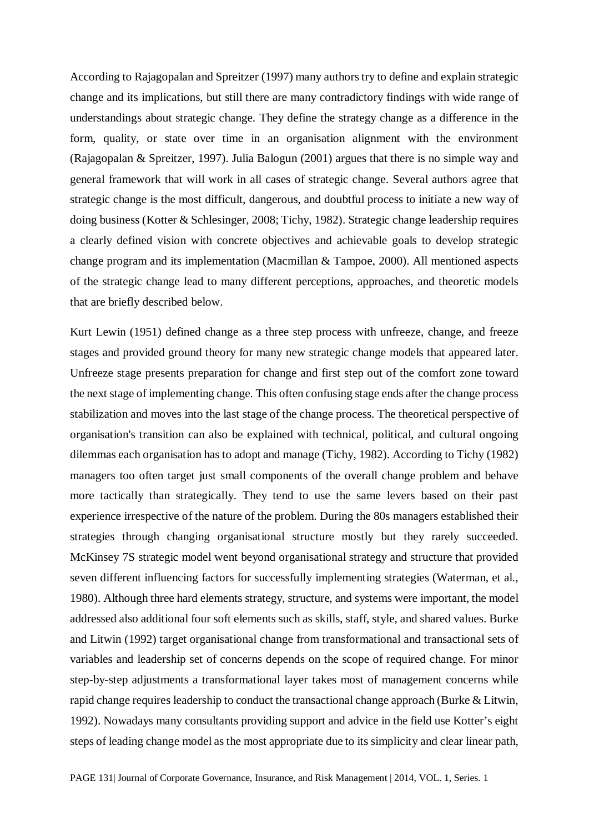According to Rajagopalan and Spreitzer (1997) many authors try to define and explain strategic change and its implications, but still there are many contradictory findings with wide range of understandings about strategic change. They define the strategy change as a difference in the form, quality, or state over time in an organisation alignment with the environment (Rajagopalan & Spreitzer, 1997). Julia Balogun (2001) argues that there is no simple way and general framework that will work in all cases of strategic change. Several authors agree that strategic change is the most difficult, dangerous, and doubtful process to initiate a new way of doing business (Kotter & Schlesinger, 2008; Tichy, 1982). Strategic change leadership requires a clearly defined vision with concrete objectives and achievable goals to develop strategic change program and its implementation (Macmillan & Tampoe, 2000). All mentioned aspects of the strategic change lead to many different perceptions, approaches, and theoretic models that are briefly described below.

Kurt Lewin (1951) defined change as a three step process with unfreeze, change, and freeze stages and provided ground theory for many new strategic change models that appeared later. Unfreeze stage presents preparation for change and first step out of the comfort zone toward the next stage of implementing change. This often confusing stage ends after the change process stabilization and moves into the last stage of the change process. The theoretical perspective of organisation's transition can also be explained with technical, political, and cultural ongoing dilemmas each organisation has to adopt and manage (Tichy, 1982). According to Tichy (1982) managers too often target just small components of the overall change problem and behave more tactically than strategically. They tend to use the same levers based on their past experience irrespective of the nature of the problem. During the 80s managers established their strategies through changing organisational structure mostly but they rarely succeeded. McKinsey 7S strategic model went beyond organisational strategy and structure that provided seven different influencing factors for successfully implementing strategies (Waterman, et al., 1980). Although three hard elements strategy, structure, and systems were important, the model addressed also additional four soft elements such as skills, staff, style, and shared values. Burke and Litwin (1992) target organisational change from transformational and transactional sets of variables and leadership set of concerns depends on the scope of required change. For minor step-by-step adjustments a transformational layer takes most of management concerns while rapid change requires leadership to conduct the transactional change approach (Burke & Litwin, 1992). Nowadays many consultants providing support and advice in the field use Kotter's eight steps of leading change model as the most appropriate due to its simplicity and clear linear path,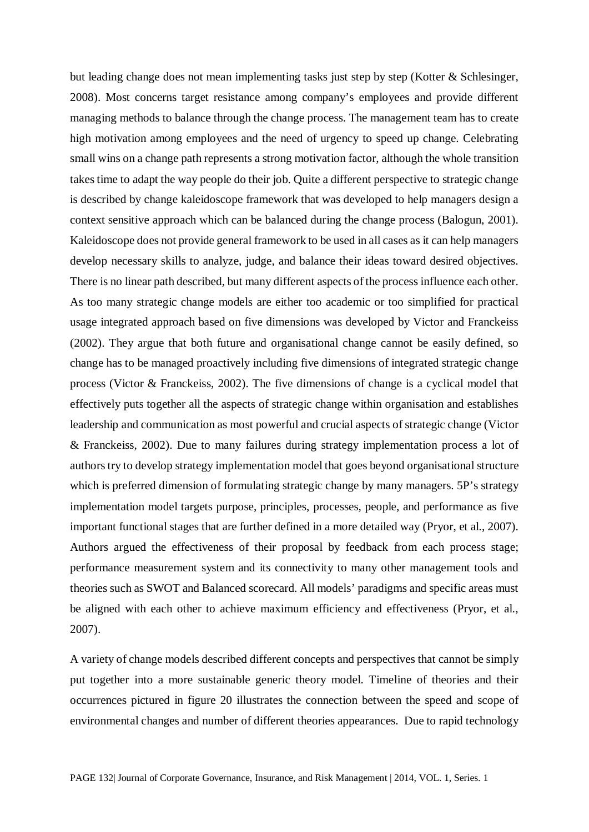but leading change does not mean implementing tasks just step by step (Kotter & Schlesinger, 2008). Most concerns target resistance among company's employees and provide different managing methods to balance through the change process. The management team has to create high motivation among employees and the need of urgency to speed up change. Celebrating small wins on a change path represents a strong motivation factor, although the whole transition takes time to adapt the way people do their job. Quite a different perspective to strategic change is described by change kaleidoscope framework that was developed to help managers design a context sensitive approach which can be balanced during the change process (Balogun, 2001). Kaleidoscope does not provide general framework to be used in all cases as it can help managers develop necessary skills to analyze, judge, and balance their ideas toward desired objectives. There is no linear path described, but many different aspects of the process influence each other. As too many strategic change models are either too academic or too simplified for practical usage integrated approach based on five dimensions was developed by Victor and Franckeiss (2002). They argue that both future and organisational change cannot be easily defined, so change has to be managed proactively including five dimensions of integrated strategic change process (Victor & Franckeiss, 2002). The five dimensions of change is a cyclical model that effectively puts together all the aspects of strategic change within organisation and establishes leadership and communication as most powerful and crucial aspects of strategic change (Victor & Franckeiss, 2002). Due to many failures during strategy implementation process a lot of authors try to develop strategy implementation model that goes beyond organisational structure which is preferred dimension of formulating strategic change by many managers. 5P's strategy implementation model targets purpose, principles, processes, people, and performance as five important functional stages that are further defined in a more detailed way (Pryor, et al., 2007). Authors argued the effectiveness of their proposal by feedback from each process stage; performance measurement system and its connectivity to many other management tools and theories such as SWOT and Balanced scorecard. All models' paradigms and specific areas must be aligned with each other to achieve maximum efficiency and effectiveness (Pryor, et al., 2007).

A variety of change models described different concepts and perspectives that cannot be simply put together into a more sustainable generic theory model. Timeline of theories and their occurrences pictured in figure 20 illustrates the connection between the speed and scope of environmental changes and number of different theories appearances. Due to rapid technology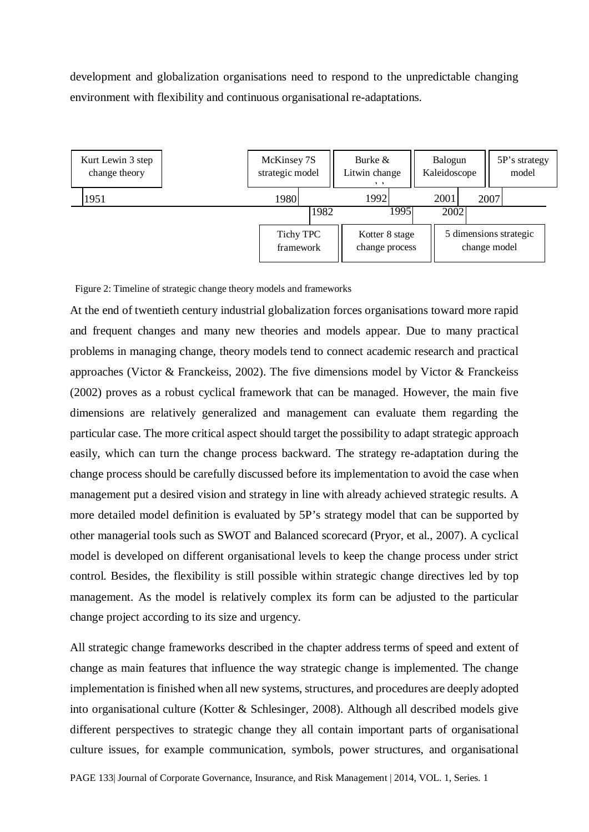development and globalization organisations need to respond to the unpredictable changing environment with flexibility and continuous organisational re-adaptations.



Figure 2: Timeline of strategic change theory models and frameworks

At the end of twentieth century industrial globalization forces organisations toward more rapid and frequent changes and many new theories and models appear. Due to many practical problems in managing change, theory models tend to connect academic research and practical approaches (Victor & Franckeiss, 2002). The five dimensions model by Victor & Franckeiss (2002) proves as a robust cyclical framework that can be managed. However, the main five dimensions are relatively generalized and management can evaluate them regarding the particular case. The more critical aspect should target the possibility to adapt strategic approach easily, which can turn the change process backward. The strategy re-adaptation during the change process should be carefully discussed before its implementation to avoid the case when management put a desired vision and strategy in line with already achieved strategic results. A more detailed model definition is evaluated by 5P's strategy model that can be supported by other managerial tools such as SWOT and Balanced scorecard (Pryor, et al., 2007). A cyclical model is developed on different organisational levels to keep the change process under strict control. Besides, the flexibility is still possible within strategic change directives led by top management. As the model is relatively complex its form can be adjusted to the particular change project according to its size and urgency.

All strategic change frameworks described in the chapter address terms of speed and extent of change as main features that influence the way strategic change is implemented. The change implementation is finished when all new systems, structures, and procedures are deeply adopted into organisational culture (Kotter & Schlesinger, 2008). Although all described models give different perspectives to strategic change they all contain important parts of organisational culture issues, for example communication, symbols, power structures, and organisational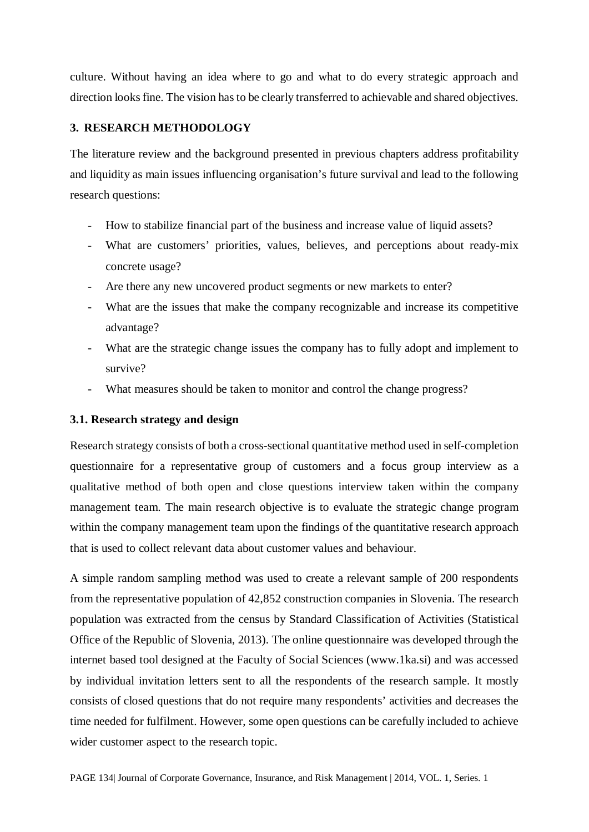culture. Without having an idea where to go and what to do every strategic approach and direction looks fine. The vision has to be clearly transferred to achievable and shared objectives.

## **3. RESEARCH METHODOLOGY**

The literature review and the background presented in previous chapters address profitability and liquidity as main issues influencing organisation's future survival and lead to the following research questions:

- How to stabilize financial part of the business and increase value of liquid assets?
- What are customers' priorities, values, believes, and perceptions about ready-mix concrete usage?
- Are there any new uncovered product segments or new markets to enter?
- What are the issues that make the company recognizable and increase its competitive advantage?
- What are the strategic change issues the company has to fully adopt and implement to survive?
- What measures should be taken to monitor and control the change progress?

## **3.1. Research strategy and design**

Research strategy consists of both a cross-sectional quantitative method used in self-completion questionnaire for a representative group of customers and a focus group interview as a qualitative method of both open and close questions interview taken within the company management team. The main research objective is to evaluate the strategic change program within the company management team upon the findings of the quantitative research approach that is used to collect relevant data about customer values and behaviour.

A simple random sampling method was used to create a relevant sample of 200 respondents from the representative population of 42,852 construction companies in Slovenia. The research population was extracted from the census by Standard Classification of Activities (Statistical Office of the Republic of Slovenia, 2013). The online questionnaire was developed through the internet based tool designed at the Faculty of Social Sciences (www.1ka.si) and was accessed by individual invitation letters sent to all the respondents of the research sample. It mostly consists of closed questions that do not require many respondents' activities and decreases the time needed for fulfilment. However, some open questions can be carefully included to achieve wider customer aspect to the research topic.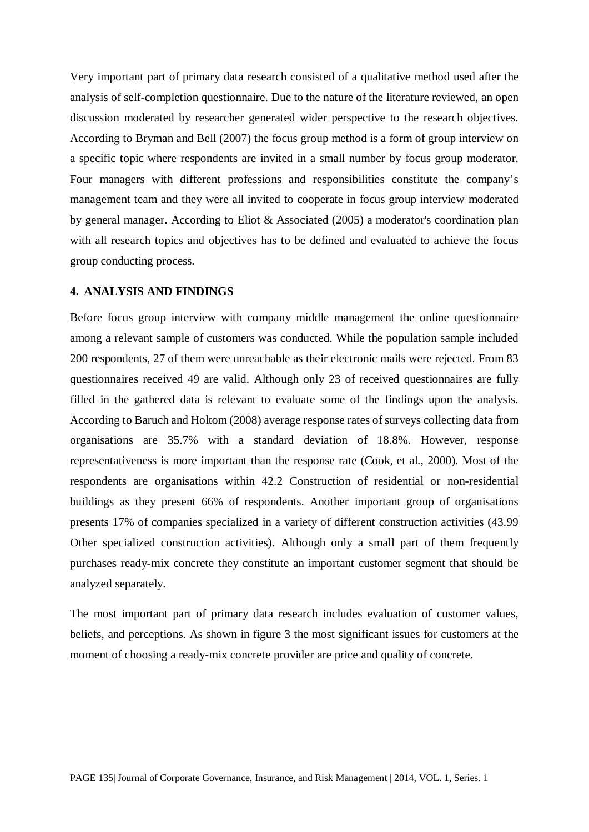Very important part of primary data research consisted of a qualitative method used after the analysis of self-completion questionnaire. Due to the nature of the literature reviewed, an open discussion moderated by researcher generated wider perspective to the research objectives. According to Bryman and Bell (2007) the focus group method is a form of group interview on a specific topic where respondents are invited in a small number by focus group moderator. Four managers with different professions and responsibilities constitute the company's management team and they were all invited to cooperate in focus group interview moderated by general manager. According to Eliot & Associated (2005) a moderator's coordination plan with all research topics and objectives has to be defined and evaluated to achieve the focus group conducting process.

#### **4. ANALYSIS AND FINDINGS**

Before focus group interview with company middle management the online questionnaire among a relevant sample of customers was conducted. While the population sample included 200 respondents, 27 of them were unreachable as their electronic mails were rejected. From 83 questionnaires received 49 are valid. Although only 23 of received questionnaires are fully filled in the gathered data is relevant to evaluate some of the findings upon the analysis. According to Baruch and Holtom (2008) average response rates of surveys collecting data from organisations are 35.7% with a standard deviation of 18.8%. However, response representativeness is more important than the response rate (Cook, et al., 2000). Most of the respondents are organisations within 42.2 Construction of residential or non-residential buildings as they present 66% of respondents. Another important group of organisations presents 17% of companies specialized in a variety of different construction activities (43.99 Other specialized construction activities). Although only a small part of them frequently purchases ready-mix concrete they constitute an important customer segment that should be analyzed separately.

The most important part of primary data research includes evaluation of customer values, beliefs, and perceptions. As shown in figure 3 the most significant issues for customers at the moment of choosing a ready-mix concrete provider are price and quality of concrete.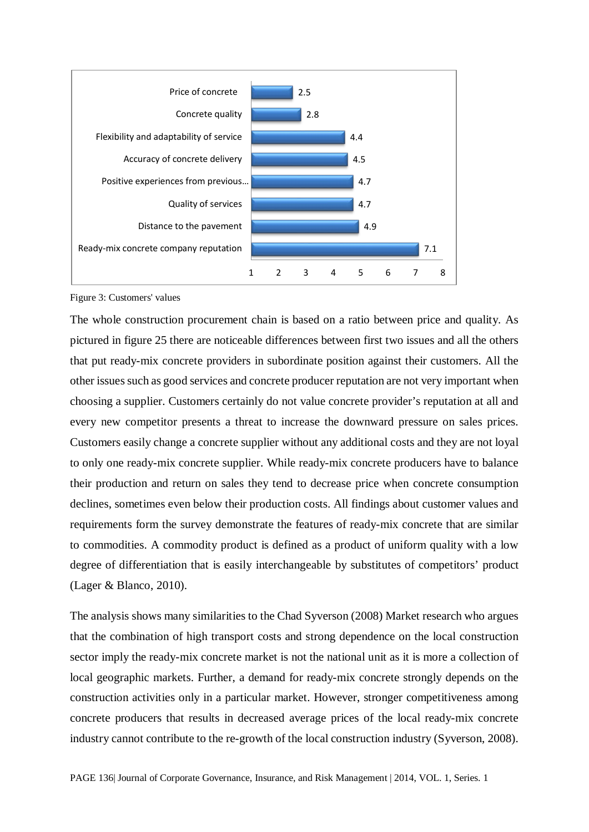

Figure 3: Customers' values

The whole construction procurement chain is based on a ratio between price and quality. As pictured in figure 25 there are noticeable differences between first two issues and all the others that put ready-mix concrete providers in subordinate position against their customers. All the other issues such as good services and concrete producer reputation are not very important when choosing a supplier. Customers certainly do not value concrete provider's reputation at all and every new competitor presents a threat to increase the downward pressure on sales prices. Customers easily change a concrete supplier without any additional costs and they are not loyal to only one ready-mix concrete supplier. While ready-mix concrete producers have to balance their production and return on sales they tend to decrease price when concrete consumption declines, sometimes even below their production costs. All findings about customer values and requirements form the survey demonstrate the features of ready-mix concrete that are similar to commodities. A commodity product is defined as a product of uniform quality with a low degree of differentiation that is easily interchangeable by substitutes of competitors' product (Lager & Blanco, 2010).

The analysis shows many similarities to the Chad Syverson (2008) Market research who argues that the combination of high transport costs and strong dependence on the local construction sector imply the ready-mix concrete market is not the national unit as it is more a collection of local geographic markets. Further, a demand for ready-mix concrete strongly depends on the construction activities only in a particular market. However, stronger competitiveness among concrete producers that results in decreased average prices of the local ready-mix concrete industry cannot contribute to the re-growth of the local construction industry (Syverson, 2008).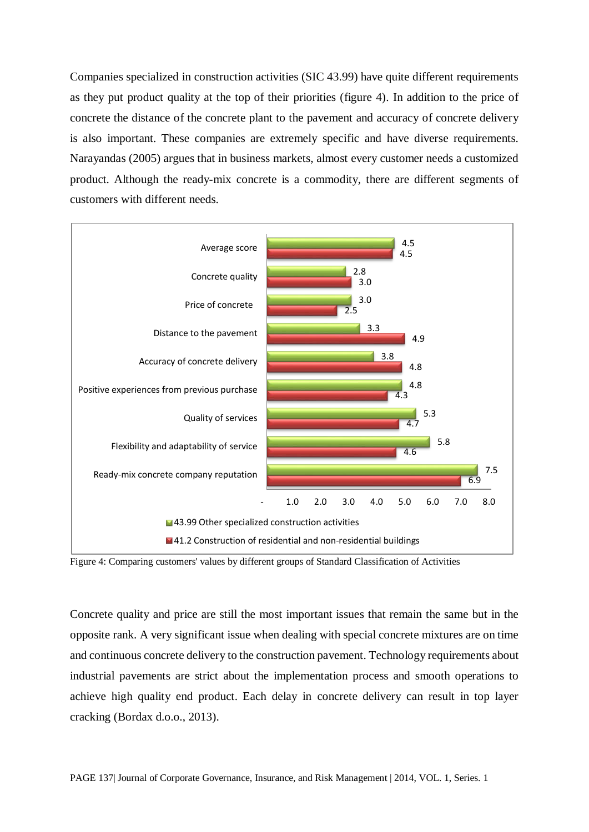Companies specialized in construction activities (SIC 43.99) have quite different requirements as they put product quality at the top of their priorities (figure 4). In addition to the price of concrete the distance of the concrete plant to the pavement and accuracy of concrete delivery is also important. These companies are extremely specific and have diverse requirements. Narayandas (2005) argues that in business markets, almost every customer needs a customized product. Although the ready-mix concrete is a commodity, there are different segments of customers with different needs.



Figure 4: Comparing customers' values by different groups of Standard Classification of Activities

Concrete quality and price are still the most important issues that remain the same but in the opposite rank. A very significant issue when dealing with special concrete mixtures are on time and continuous concrete delivery to the construction pavement. Technology requirements about industrial pavements are strict about the implementation process and smooth operations to achieve high quality end product. Each delay in concrete delivery can result in top layer cracking (Bordax d.o.o., 2013).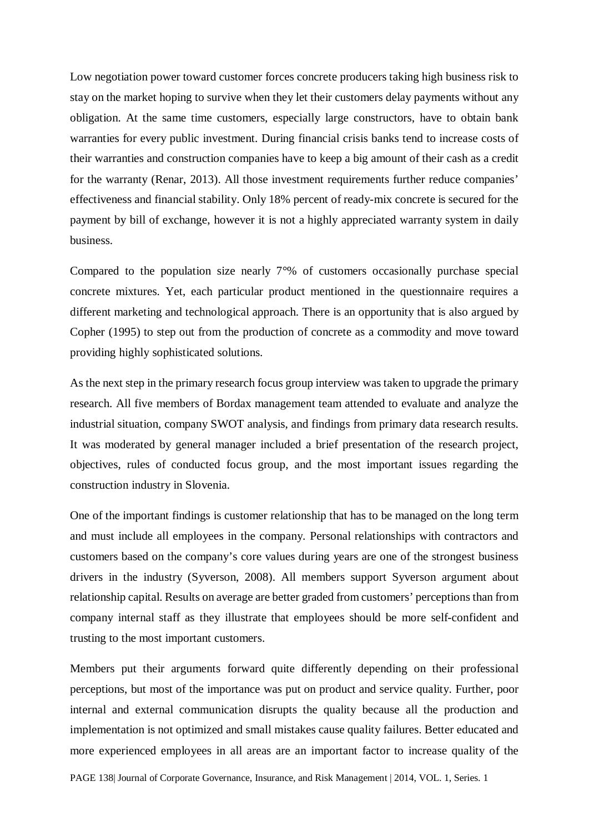Low negotiation power toward customer forces concrete producers taking high business risk to stay on the market hoping to survive when they let their customers delay payments without any obligation. At the same time customers, especially large constructors, have to obtain bank warranties for every public investment. During financial crisis banks tend to increase costs of their warranties and construction companies have to keep a big amount of their cash as a credit for the warranty (Renar, 2013). All those investment requirements further reduce companies' effectiveness and financial stability. Only 18% percent of ready-mix concrete is secured for the payment by bill of exchange, however it is not a highly appreciated warranty system in daily business.

Compared to the population size nearly 7°% of customers occasionally purchase special concrete mixtures. Yet, each particular product mentioned in the questionnaire requires a different marketing and technological approach. There is an opportunity that is also argued by Copher (1995) to step out from the production of concrete as a commodity and move toward providing highly sophisticated solutions.

As the next step in the primary research focus group interview was taken to upgrade the primary research. All five members of Bordax management team attended to evaluate and analyze the industrial situation, company SWOT analysis, and findings from primary data research results. It was moderated by general manager included a brief presentation of the research project, objectives, rules of conducted focus group, and the most important issues regarding the construction industry in Slovenia.

One of the important findings is customer relationship that has to be managed on the long term and must include all employees in the company. Personal relationships with contractors and customers based on the company's core values during years are one of the strongest business drivers in the industry (Syverson, 2008). All members support Syverson argument about relationship capital. Results on average are better graded from customers' perceptions than from company internal staff as they illustrate that employees should be more self-confident and trusting to the most important customers.

Members put their arguments forward quite differently depending on their professional perceptions, but most of the importance was put on product and service quality. Further, poor internal and external communication disrupts the quality because all the production and implementation is not optimized and small mistakes cause quality failures. Better educated and more experienced employees in all areas are an important factor to increase quality of the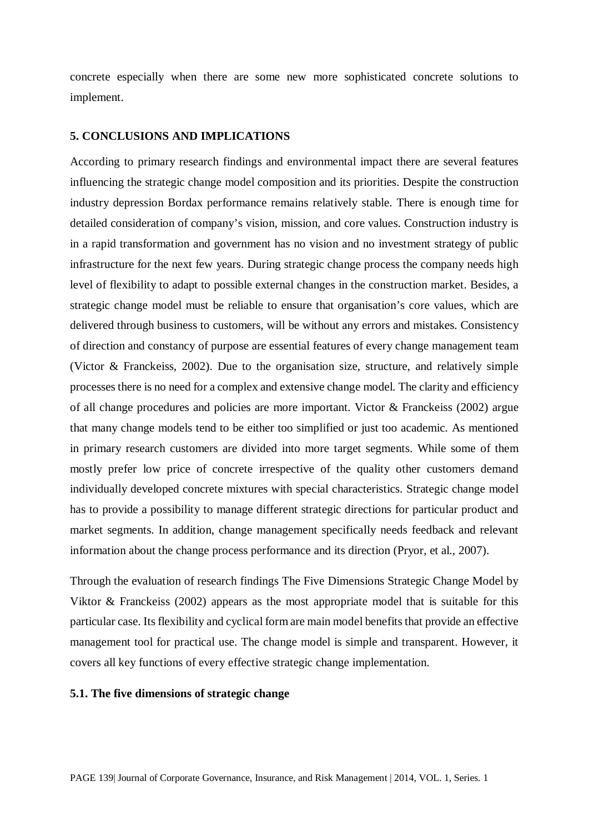concrete especially when there are some new more sophisticated concrete solutions to implement.

### **5. CONCLUSIONS AND IMPLICATIONS**

According to primary research findings and environmental impact there are several features influencing the strategic change model composition and its priorities. Despite the construction industry depression Bordax performance remains relatively stable. There is enough time for detailed consideration of company's vision, mission, and core values. Construction industry is in a rapid transformation and government has no vision and no investment strategy of public infrastructure for the next few years. During strategic change process the company needs high level of flexibility to adapt to possible external changes in the construction market. Besides, a strategic change model must be reliable to ensure that organisation's core values, which are delivered through business to customers, will be without any errors and mistakes. Consistency of direction and constancy of purpose are essential features of every change management team (Victor & Franckeiss, 2002). Due to the organisation size, structure, and relatively simple processes there is no need for a complex and extensive change model. The clarity and efficiency of all change procedures and policies are more important. Victor & Franckeiss (2002) argue that many change models tend to be either too simplified or just too academic. As mentioned in primary research customers are divided into more target segments. While some of them mostly prefer low price of concrete irrespective of the quality other customers demand individually developed concrete mixtures with special characteristics. Strategic change model has to provide a possibility to manage different strategic directions for particular product and market segments. In addition, change management specifically needs feedback and relevant information about the change process performance and its direction (Pryor, et al., 2007).

Through the evaluation of research findings The Five Dimensions Strategic Change Model by Viktor & Franckeiss (2002) appears as the most appropriate model that is suitable for this particular case. Its flexibility and cyclical form are main model benefits that provide an effective management tool for practical use. The change model is simple and transparent. However, it covers all key functions of every effective strategic change implementation.

#### **5.1. The five dimensions of strategic change**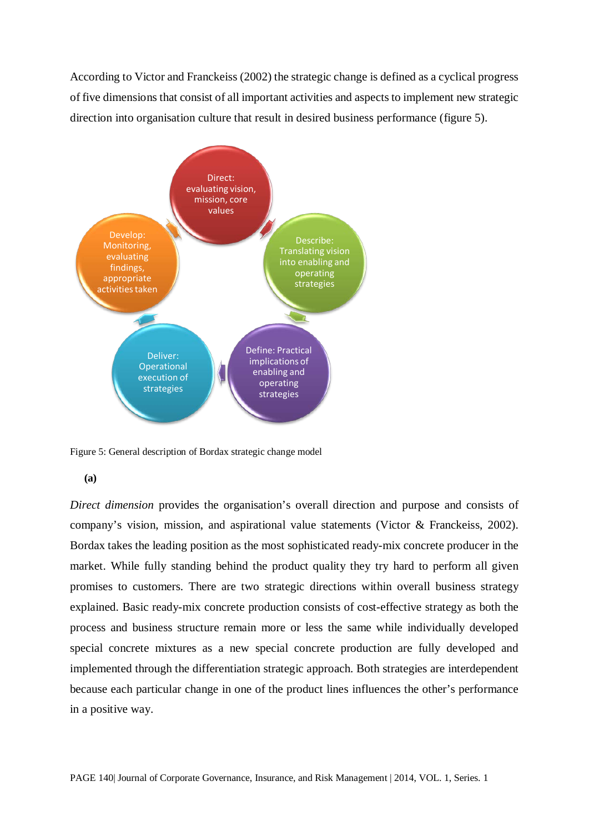According to Victor and Franckeiss (2002) the strategic change is defined as a cyclical progress of five dimensions that consist of all important activities and aspects to implement new strategic direction into organisation culture that result in desired business performance (figure 5).



Figure 5: General description of Bordax strategic change model

#### **(a)**

*Direct dimension* provides the organisation's overall direction and purpose and consists of company's vision, mission, and aspirational value statements (Victor & Franckeiss, 2002). Bordax takes the leading position as the most sophisticated ready-mix concrete producer in the market. While fully standing behind the product quality they try hard to perform all given promises to customers. There are two strategic directions within overall business strategy explained. Basic ready-mix concrete production consists of cost-effective strategy as both the process and business structure remain more or less the same while individually developed special concrete mixtures as a new special concrete production are fully developed and implemented through the differentiation strategic approach. Both strategies are interdependent because each particular change in one of the product lines influences the other's performance in a positive way.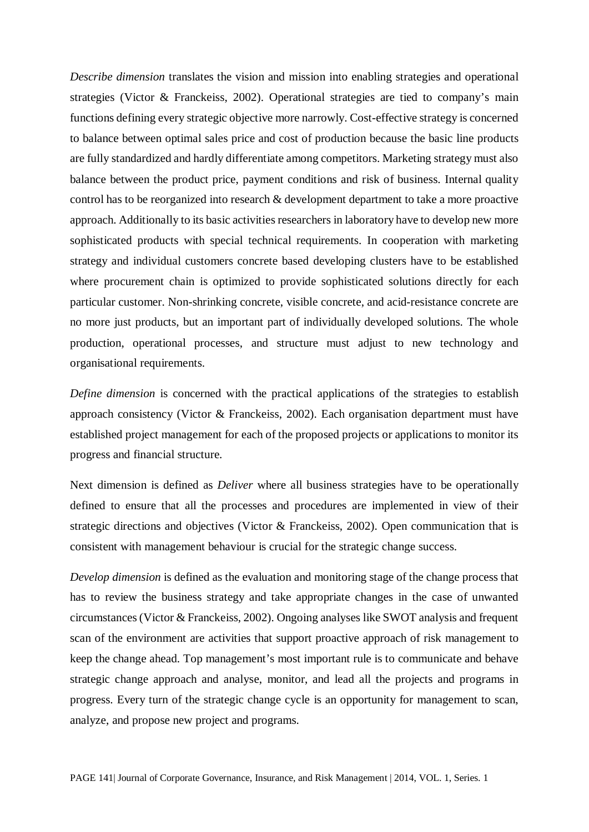*Describe dimension* translates the vision and mission into enabling strategies and operational strategies (Victor & Franckeiss, 2002). Operational strategies are tied to company's main functions defining every strategic objective more narrowly. Cost-effective strategy is concerned to balance between optimal sales price and cost of production because the basic line products are fully standardized and hardly differentiate among competitors. Marketing strategy must also balance between the product price, payment conditions and risk of business. Internal quality control has to be reorganized into research & development department to take a more proactive approach. Additionally to its basic activities researchers in laboratory have to develop new more sophisticated products with special technical requirements. In cooperation with marketing strategy and individual customers concrete based developing clusters have to be established where procurement chain is optimized to provide sophisticated solutions directly for each particular customer. Non-shrinking concrete, visible concrete, and acid-resistance concrete are no more just products, but an important part of individually developed solutions. The whole production, operational processes, and structure must adjust to new technology and organisational requirements.

*Define dimension* is concerned with the practical applications of the strategies to establish approach consistency (Victor & Franckeiss, 2002). Each organisation department must have established project management for each of the proposed projects or applications to monitor its progress and financial structure.

Next dimension is defined as *Deliver* where all business strategies have to be operationally defined to ensure that all the processes and procedures are implemented in view of their strategic directions and objectives (Victor & Franckeiss, 2002). Open communication that is consistent with management behaviour is crucial for the strategic change success.

*Develop dimension* is defined as the evaluation and monitoring stage of the change process that has to review the business strategy and take appropriate changes in the case of unwanted circumstances(Victor & Franckeiss, 2002). Ongoing analyses like SWOT analysis and frequent scan of the environment are activities that support proactive approach of risk management to keep the change ahead. Top management's most important rule is to communicate and behave strategic change approach and analyse, monitor, and lead all the projects and programs in progress. Every turn of the strategic change cycle is an opportunity for management to scan, analyze, and propose new project and programs.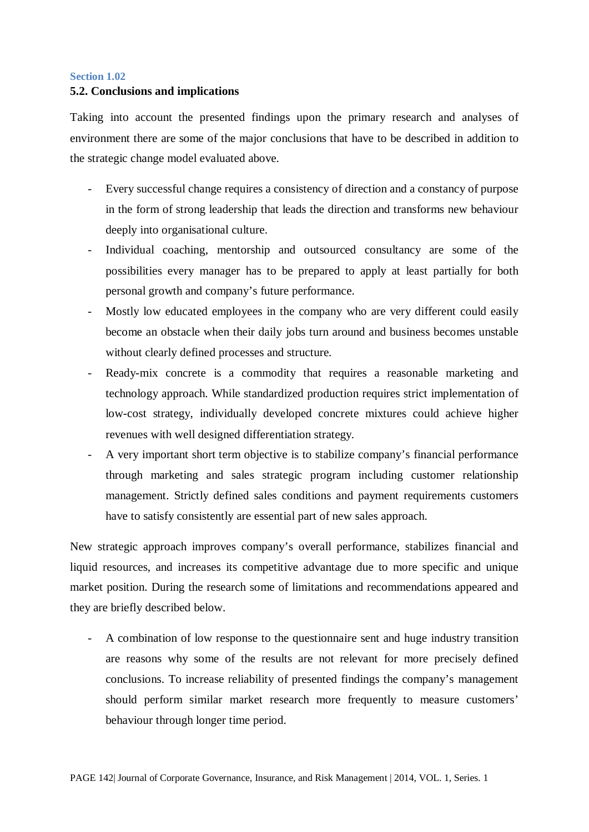#### **Section 1.02**

### **5.2. Conclusions and implications**

Taking into account the presented findings upon the primary research and analyses of environment there are some of the major conclusions that have to be described in addition to the strategic change model evaluated above.

- Every successful change requires a consistency of direction and a constancy of purpose in the form of strong leadership that leads the direction and transforms new behaviour deeply into organisational culture.
- Individual coaching, mentorship and outsourced consultancy are some of the possibilities every manager has to be prepared to apply at least partially for both personal growth and company's future performance.
- Mostly low educated employees in the company who are very different could easily become an obstacle when their daily jobs turn around and business becomes unstable without clearly defined processes and structure.
- Ready-mix concrete is a commodity that requires a reasonable marketing and technology approach. While standardized production requires strict implementation of low-cost strategy, individually developed concrete mixtures could achieve higher revenues with well designed differentiation strategy.
- A very important short term objective is to stabilize company's financial performance through marketing and sales strategic program including customer relationship management. Strictly defined sales conditions and payment requirements customers have to satisfy consistently are essential part of new sales approach.

New strategic approach improves company's overall performance, stabilizes financial and liquid resources, and increases its competitive advantage due to more specific and unique market position. During the research some of limitations and recommendations appeared and they are briefly described below.

- A combination of low response to the questionnaire sent and huge industry transition are reasons why some of the results are not relevant for more precisely defined conclusions. To increase reliability of presented findings the company's management should perform similar market research more frequently to measure customers' behaviour through longer time period.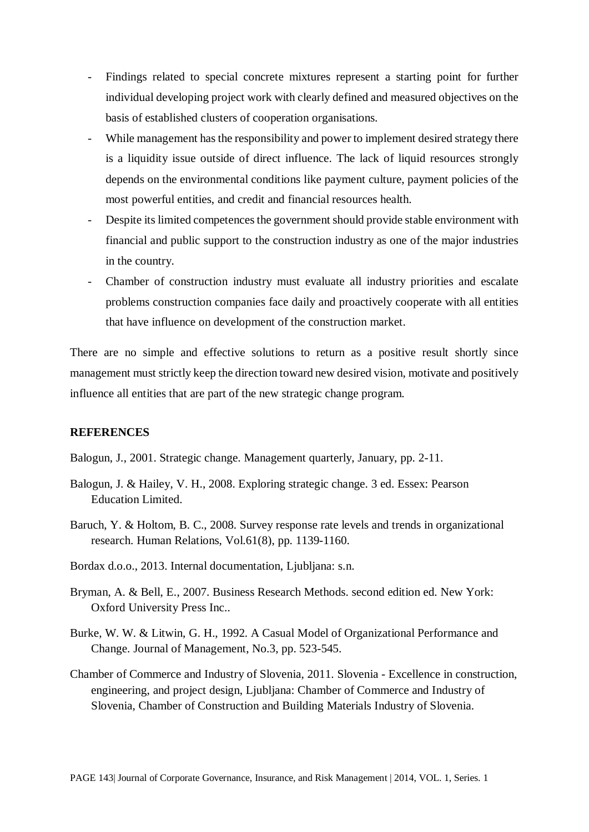- Findings related to special concrete mixtures represent a starting point for further individual developing project work with clearly defined and measured objectives on the basis of established clusters of cooperation organisations.
- While management has the responsibility and power to implement desired strategy there is a liquidity issue outside of direct influence. The lack of liquid resources strongly depends on the environmental conditions like payment culture, payment policies of the most powerful entities, and credit and financial resources health.
- Despite its limited competences the government should provide stable environment with financial and public support to the construction industry as one of the major industries in the country.
- Chamber of construction industry must evaluate all industry priorities and escalate problems construction companies face daily and proactively cooperate with all entities that have influence on development of the construction market.

There are no simple and effective solutions to return as a positive result shortly since management must strictly keep the direction toward new desired vision, motivate and positively influence all entities that are part of the new strategic change program.

#### **REFERENCES**

Balogun, J., 2001. Strategic change. Management quarterly, January, pp. 2-11.

- Balogun, J. & Hailey, V. H., 2008. Exploring strategic change. 3 ed. Essex: Pearson Education Limited.
- Baruch, Y. & Holtom, B. C., 2008. Survey response rate levels and trends in organizational research. Human Relations, Vol.61(8), pp. 1139-1160.
- Bordax d.o.o., 2013. Internal documentation, Ljubljana: s.n.
- Bryman, A. & Bell, E., 2007. Business Research Methods. second edition ed. New York: Oxford University Press Inc..
- Burke, W. W. & Litwin, G. H., 1992. A Casual Model of Organizational Performance and Change. Journal of Management, No.3, pp. 523-545.
- Chamber of Commerce and Industry of Slovenia, 2011. Slovenia Excellence in construction, engineering, and project design, Ljubljana: Chamber of Commerce and Industry of Slovenia, Chamber of Construction and Building Materials Industry of Slovenia.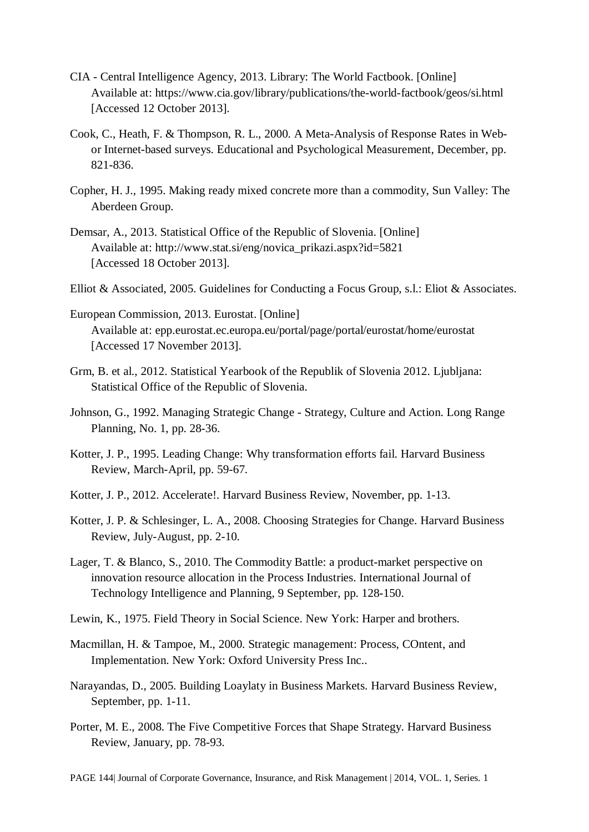- CIA Central Intelligence Agency, 2013. Library: The World Factbook. [Online] Available at: https://www.cia.gov/library/publications/the-world-factbook/geos/si.html [Accessed 12 October 2013].
- Cook, C., Heath, F. & Thompson, R. L., 2000. A Meta-Analysis of Response Rates in Webor Internet-based surveys. Educational and Psychological Measurement, December, pp. 821-836.
- Copher, H. J., 1995. Making ready mixed concrete more than a commodity, Sun Valley: The Aberdeen Group.
- Demsar, A., 2013. Statistical Office of the Republic of Slovenia. [Online] Available at: http://www.stat.si/eng/novica\_prikazi.aspx?id=5821 [Accessed 18 October 2013].
- Elliot & Associated, 2005. Guidelines for Conducting a Focus Group, s.l.: Eliot & Associates.
- European Commission, 2013. Eurostat. [Online] Available at: epp.eurostat.ec.europa.eu/portal/page/portal/eurostat/home/eurostat [Accessed 17 November 2013].
- Grm, B. et al., 2012. Statistical Yearbook of the Republik of Slovenia 2012. Ljubljana: Statistical Office of the Republic of Slovenia.
- Johnson, G., 1992. Managing Strategic Change Strategy, Culture and Action. Long Range Planning, No. 1, pp. 28-36.
- Kotter, J. P., 1995. Leading Change: Why transformation efforts fail. Harvard Business Review, March-April, pp. 59-67.
- Kotter, J. P., 2012. Accelerate!. Harvard Business Review, November, pp. 1-13.
- Kotter, J. P. & Schlesinger, L. A., 2008. Choosing Strategies for Change. Harvard Business Review, July-August, pp. 2-10.
- Lager, T. & Blanco, S., 2010. The Commodity Battle: a product-market perspective on innovation resource allocation in the Process Industries. International Journal of Technology Intelligence and Planning, 9 September, pp. 128-150.
- Lewin, K., 1975. Field Theory in Social Science. New York: Harper and brothers.
- Macmillan, H. & Tampoe, M., 2000. Strategic management: Process, COntent, and Implementation. New York: Oxford University Press Inc..
- Narayandas, D., 2005. Building Loaylaty in Business Markets. Harvard Business Review, September, pp. 1-11.
- Porter, M. E., 2008. The Five Competitive Forces that Shape Strategy. Harvard Business Review, January, pp. 78-93.